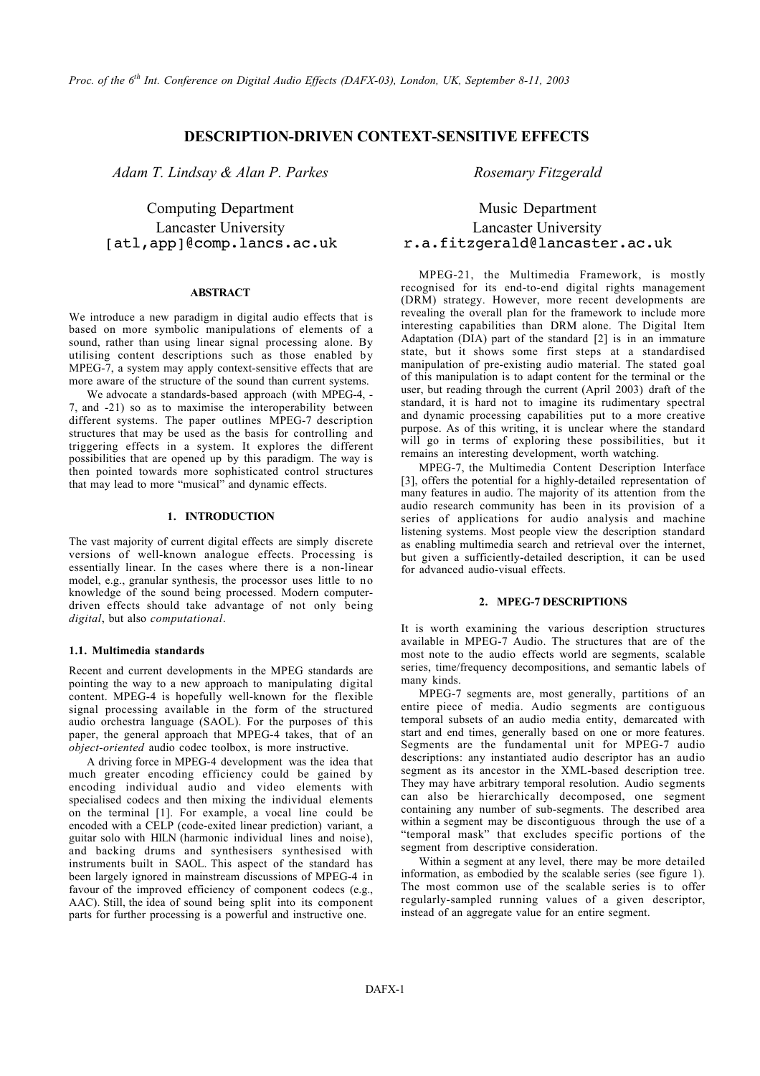## **DESCRIPTION-DRIVEN CONTEXT-SENSITIVE EFFECTS**

*Adam T. Lindsay & Alan P. Parkes Rosemary Fitzgerald*

### **ABSTRACT**

We introduce a new paradigm in digital audio effects that is based on more symbolic manipulations of elements of a sound, rather than using linear signal processing alone. By utilising content descriptions such as those enabled by MPEG-7, a system may apply context-sensitive effects that are more aware of the structure of the sound than current systems.

We advocate a standards-based approach (with MPEG-4, - 7, and -21) so as to maximise the interoperability between different systems. The paper outlines MPEG-7 description structures that may be used as the basis for controlling and triggering effects in a system. It explores the different possibilities that are opened up by this paradigm. The way is then pointed towards more sophisticated control structures that may lead to more "musical" and dynamic effects.

### **1. INTRODUCTION**

The vast majority of current digital effects are simply discrete versions of well-known analogue effects. Processing is essentially linear. In the cases where there is a non-linear model, e.g., granular synthesis, the processor uses little to no knowledge of the sound being processed. Modern computerdriven effects should take advantage of not only being *digital*, but also *computational*.

### **1.1. Multimedia standards**

Recent and current developments in the MPEG standards are pointing the way to a new approach to manipulating digital content. MPEG-4 is hopefully well-known for the flexible signal processing available in the form of the structured audio orchestra language (SAOL). For the purposes of this paper, the general approach that MPEG-4 takes, that of an *object-oriented* audio codec toolbox, is more instructive.

A driving force in MPEG-4 development was the idea that much greater encoding efficiency could be gained by encoding individual audio and video elements with specialised codecs and then mixing the individual elements on the terminal [1]. For example, a vocal line could be encoded with a CELP (code-exited linear prediction) variant, a guitar solo with HILN (harmonic individual lines and noise), and backing drums and synthesisers synthesised with instruments built in SAOL. This aspect of the standard has been largely ignored in mainstream discussions of MPEG-4 in favour of the improved efficiency of component codecs (e.g., AAC). Still, the idea of sound being split into its component parts for further processing is a powerful and instructive one.

# Computing Department Music Department Lancaster University Lancaster University [atl,app]@comp.lancs.ac.uk r.a.fitzgerald@lancaster.ac.uk

MPEG-21, the Multimedia Framework, is mostly recognised for its end-to-end digital rights management (DRM) strategy. However, more recent developments are revealing the overall plan for the framework to include more interesting capabilities than DRM alone. The Digital Item Adaptation (DIA) part of the standard [2] is in an immature state, but it shows some first steps at a standardised manipulation of pre-existing audio material. The stated goal of this manipulation is to adapt content for the terminal or the user, but reading through the current (April 2003) draft of the standard, it is hard not to imagine its rudimentary spectral and dynamic processing capabilities put to a more creative purpose. As of this writing, it is unclear where the standard will go in terms of exploring these possibilities, but it remains an interesting development, worth watching.

MPEG-7, the Multimedia Content Description Interface [3], offers the potential for a highly-detailed representation of many features in audio. The majority of its attention from the audio research community has been in its provision of a series of applications for audio analysis and machine listening systems. Most people view the description standard as enabling multimedia search and retrieval over the internet, but given a sufficiently-detailed description, it can be used for advanced audio-visual effects.

#### **2. MPEG-7 DESCRIPTIONS**

It is worth examining the various description structures available in MPEG-7 Audio. The structures that are of the most note to the audio effects world are segments, scalable series, time/frequency decompositions, and semantic labels of many kinds.

MPEG-7 segments are, most generally, partitions of an entire piece of media. Audio segments are contiguous temporal subsets of an audio media entity, demarcated with start and end times, generally based on one or more features. Segments are the fundamental unit for MPEG-7 audio descriptions: any instantiated audio descriptor has an audio segment as its ancestor in the XML-based description tree. They may have arbitrary temporal resolution. Audio segments can also be hierarchically decomposed, one segment containing any number of sub-segments. The described area within a segment may be discontiguous through the use of a "temporal mask" that excludes specific portions of the segment from descriptive consideration.

Within a segment at any level, there may be more detailed information, as embodied by the scalable series (see figure 1). The most common use of the scalable series is to offer regularly-sampled running values of a given descriptor, instead of an aggregate value for an entire segment.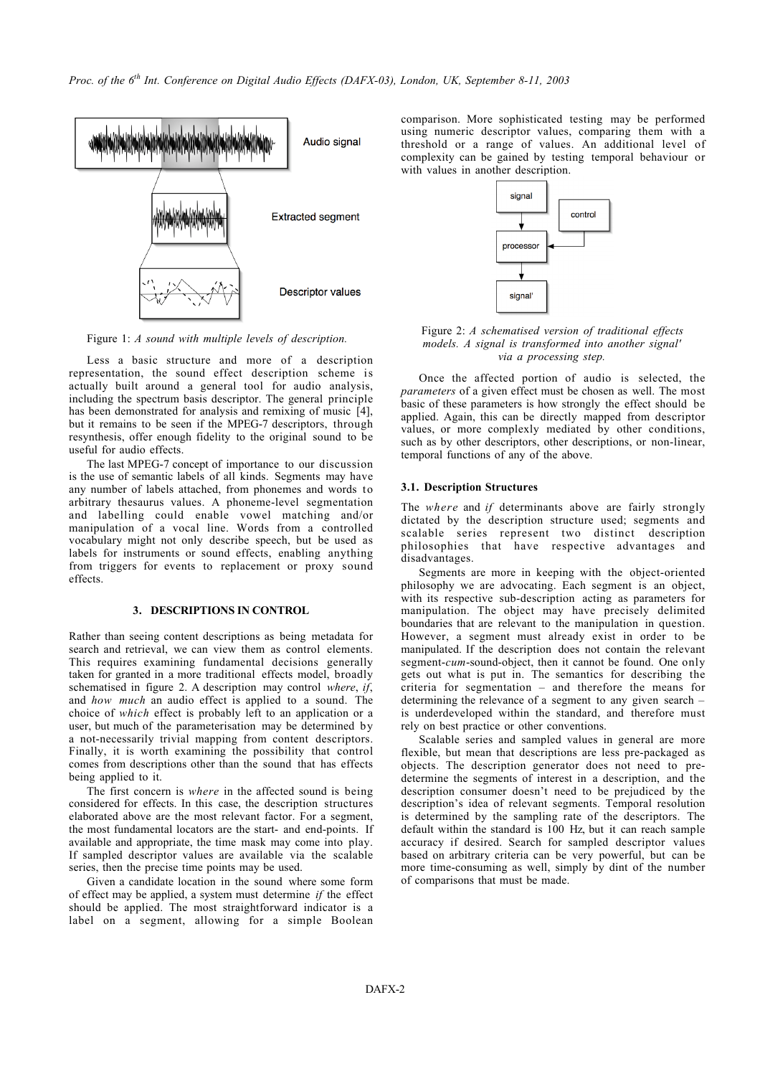

Figure 1: *A sound with multiple levels of description.*

Less a basic structure and more of a description representation, the sound effect description scheme is actually built around a general tool for audio analysis, including the spectrum basis descriptor. The general principle has been demonstrated for analysis and remixing of music [4], but it remains to be seen if the MPEG-7 descriptors, through resynthesis, offer enough fidelity to the original sound to be useful for audio effects.

The last MPEG-7 concept of importance to our discussion is the use of semantic labels of all kinds. Segments may have any number of labels attached, from phonemes and words to arbitrary thesaurus values. A phoneme-level segmentation and labelling could enable vowel matching and/or manipulation of a vocal line. Words from a controlled vocabulary might not only describe speech, but be used as labels for instruments or sound effects, enabling anything from triggers for events to replacement or proxy sound effects.

### **3. DESCRIPTIONS IN CONTROL**

Rather than seeing content descriptions as being metadata for search and retrieval, we can view them as control elements. This requires examining fundamental decisions generally taken for granted in a more traditional effects model, broadly schematised in figure 2. A description may control *where*, *if*, and *how much* an audio effect is applied to a sound. The choice of *which* effect is probably left to an application or a user, but much of the parameterisation may be determined by a not-necessarily trivial mapping from content descriptors. Finally, it is worth examining the possibility that control comes from descriptions other than the sound that has effects being applied to it.

The first concern is *where* in the affected sound is being considered for effects. In this case, the description structures elaborated above are the most relevant factor. For a segment, the most fundamental locators are the start- and end-points. If available and appropriate, the time mask may come into play. If sampled descriptor values are available via the scalable series, then the precise time points may be used.

Given a candidate location in the sound where some form of effect may be applied, a system must determine *if* the effect should be applied. The most straightforward indicator is a label on a segment, allowing for a simple Boolean comparison. More sophisticated testing may be performed using numeric descriptor values, comparing them with a threshold or a range of values. An additional level of complexity can be gained by testing temporal behaviour or with values in another description.



Figure 2: *A schematised version of traditional effects models. A signal is transformed into another signal' via a processing step.*

Once the affected portion of audio is selected, the *parameters* of a given effect must be chosen as well. The most basic of these parameters is how strongly the effect should be applied. Again, this can be directly mapped from descriptor values, or more complexly mediated by other conditions, such as by other descriptors, other descriptions, or non-linear, temporal functions of any of the above.

#### **3.1. Description Structures**

The *where* and *if* determinants above are fairly strongly dictated by the description structure used; segments and scalable series represent two distinct description philosophies that have respective advantages and disadvantages.

Segments are more in keeping with the object-oriented philosophy we are advocating. Each segment is an object, with its respective sub-description acting as parameters for manipulation. The object may have precisely delimited boundaries that are relevant to the manipulation in question. However, a segment must already exist in order to be manipulated. If the description does not contain the relevant segment-*cum*-sound-object, then it cannot be found. One only gets out what is put in. The semantics for describing the criteria for segmentation – and therefore the means for determining the relevance of a segment to any given search – is underdeveloped within the standard, and therefore must rely on best practice or other conventions.

Scalable series and sampled values in general are more flexible, but mean that descriptions are less pre-packaged as objects. The description generator does not need to predetermine the segments of interest in a description, and the description consumer doesn't need to be prejudiced by the description's idea of relevant segments. Temporal resolution is determined by the sampling rate of the descriptors. The default within the standard is 100 Hz, but it can reach sample accuracy if desired. Search for sampled descriptor values based on arbitrary criteria can be very powerful, but can be more time-consuming as well, simply by dint of the number of comparisons that must be made.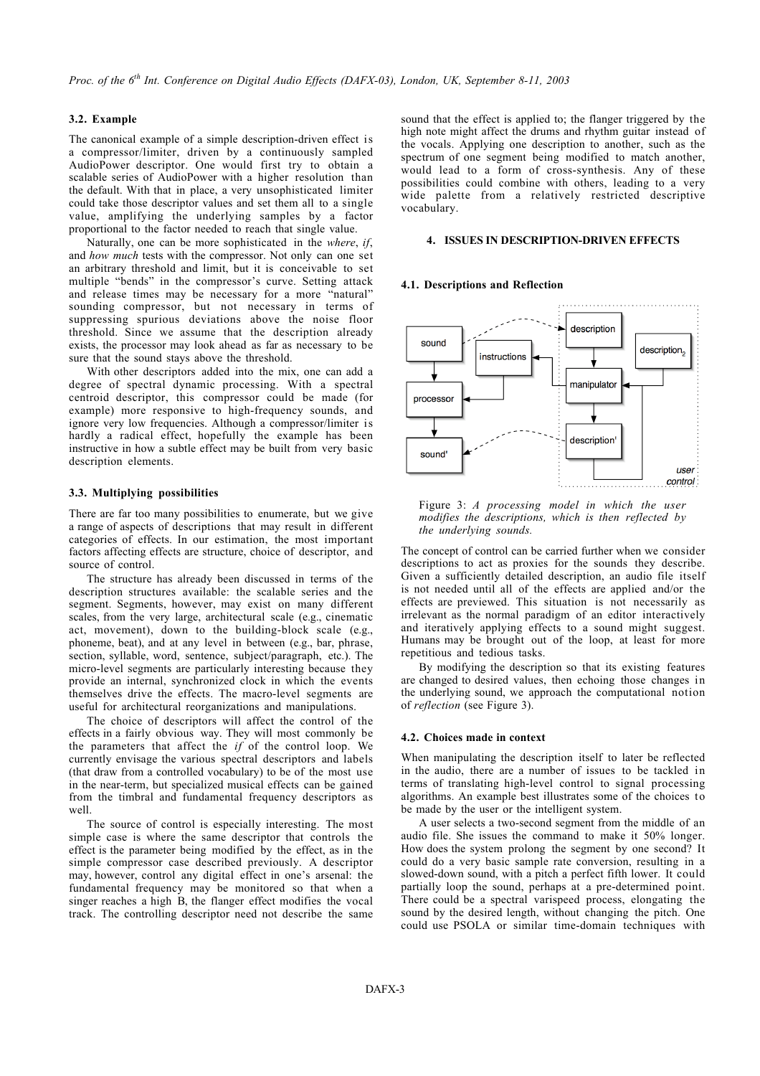### **3.2. Example**

The canonical example of a simple description-driven effect is a compressor/limiter, driven by a continuously sampled AudioPower descriptor. One would first try to obtain a scalable series of AudioPower with a higher resolution than the default. With that in place, a very unsophisticated limiter could take those descriptor values and set them all to a single value, amplifying the underlying samples by a factor proportional to the factor needed to reach that single value.

Naturally, one can be more sophisticated in the *where*, *if*, and *how much* tests with the compressor. Not only can one set an arbitrary threshold and limit, but it is conceivable to set multiple "bends" in the compressor's curve. Setting attack and release times may be necessary for a more "natural" sounding compressor, but not necessary in terms of suppressing spurious deviations above the noise floor threshold. Since we assume that the description already exists, the processor may look ahead as far as necessary to be sure that the sound stays above the threshold.

With other descriptors added into the mix, one can add a degree of spectral dynamic processing. With a spectral centroid descriptor, this compressor could be made (for example) more responsive to high-frequency sounds, and ignore very low frequencies. Although a compressor/limiter is hardly a radical effect, hopefully the example has been instructive in how a subtle effect may be built from very basic description elements.

#### **3.3. Multiplying possibilities**

There are far too many possibilities to enumerate, but we give a range of aspects of descriptions that may result in different categories of effects. In our estimation, the most important factors affecting effects are structure, choice of descriptor, and source of control.

The structure has already been discussed in terms of the description structures available: the scalable series and the segment. Segments, however, may exist on many different scales, from the very large, architectural scale (e.g., cinematic act, movement), down to the building-block scale (e.g., phoneme, beat), and at any level in between (e.g., bar, phrase, section, syllable, word, sentence, subject/paragraph, etc.). The micro-level segments are particularly interesting because they provide an internal, synchronized clock in which the events themselves drive the effects. The macro-level segments are useful for architectural reorganizations and manipulations.

The choice of descriptors will affect the control of the effects in a fairly obvious way. They will most commonly be the parameters that affect the *if* of the control loop. We currently envisage the various spectral descriptors and labels (that draw from a controlled vocabulary) to be of the most use in the near-term, but specialized musical effects can be gained from the timbral and fundamental frequency descriptors as well.

The source of control is especially interesting. The most simple case is where the same descriptor that controls the effect is the parameter being modified by the effect, as in the simple compressor case described previously. A descriptor may, however, control any digital effect in one's arsenal: the fundamental frequency may be monitored so that when a singer reaches a high B, the flanger effect modifies the vocal track. The controlling descriptor need not describe the same sound that the effect is applied to; the flanger triggered by the high note might affect the drums and rhythm guitar instead of the vocals. Applying one description to another, such as the spectrum of one segment being modified to match another, would lead to a form of cross-synthesis. Any of these possibilities could combine with others, leading to a very wide palette from a relatively restricted descriptive vocabulary.

#### **4. ISSUES IN DESCRIPTION-DRIVEN EFFECTS**

### **4.1. Descriptions and Reflection**



Figure 3: *A processing model in which the user modifies the descriptions, which is then reflected by the underlying sounds.*

The concept of control can be carried further when we consider descriptions to act as proxies for the sounds they describe. Given a sufficiently detailed description, an audio file itself is not needed until all of the effects are applied and/or the effects are previewed. This situation is not necessarily as irrelevant as the normal paradigm of an editor interactively and iteratively applying effects to a sound might suggest. Humans may be brought out of the loop, at least for more repetitious and tedious tasks.

By modifying the description so that its existing features are changed to desired values, then echoing those changes in the underlying sound, we approach the computational notion of *reflection* (see Figure 3).

#### **4.2. Choices made in context**

When manipulating the description itself to later be reflected in the audio, there are a number of issues to be tackled in terms of translating high-level control to signal processing algorithms. An example best illustrates some of the choices to be made by the user or the intelligent system.

A user selects a two-second segment from the middle of an audio file. She issues the command to make it 50% longer. How does the system prolong the segment by one second? It could do a very basic sample rate conversion, resulting in a slowed-down sound, with a pitch a perfect fifth lower. It could partially loop the sound, perhaps at a pre-determined point. There could be a spectral varispeed process, elongating the sound by the desired length, without changing the pitch. One could use PSOLA or similar time-domain techniques with